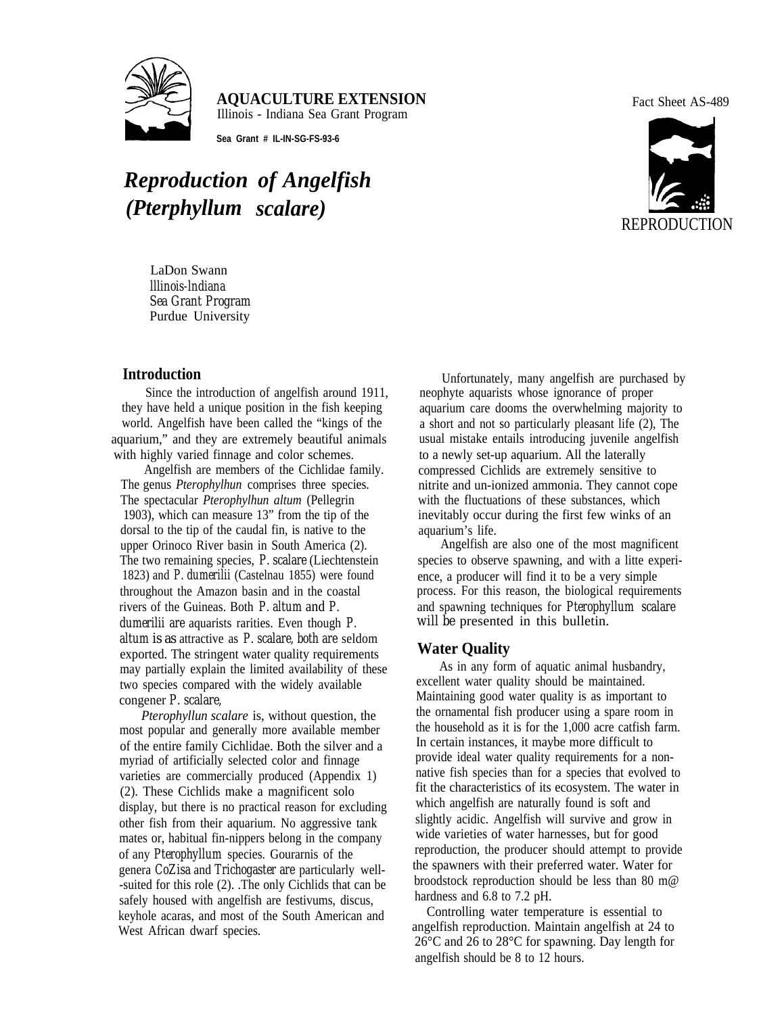

**AQUACULTURE EXTENSION** Illinois - Indiana Sea Grant Program

**Sea Grant # IL-IN-SG-FS-93-6**

# *Reproduction of Angelfish (Pterphyllum scalare)*



LaDon Swann *lllinois-lndiana Sea Grant Program* Purdue University

## **Introduction**

Since the introduction of angelfish around 1911, they have held a unique position in the fish keeping world. Angelfish have been called the "kings of the aquarium," and they are extremely beautiful animals with highly varied finnage and color schemes.

Angelfish are members of the Cichlidae family. The genus *Pterophylhun* comprises three species. The spectacular *Pterophylhun altum* (Pellegrin 1903), which can measure 13" from the tip of the dorsal to the tip of the caudal fin, is native to the upper Orinoco River basin in South America (2). The two remaining species, *P. scalare* (Liechtenstein 1823) and *P. dumerilii* (Castelnau 1855) were found throughout the Amazon basin and in the coastal rivers of the Guineas. Both *P. altum* and *P. dumerilii are* aquarists rarities. Even though *P. altum* is as attractive as *P. scalare, both are* seldom exported. The stringent water quality requirements may partially explain the limited availability of these two species compared with the widely available congener *P. scalare,*

*Pterophyllun scalare* is, without question, the most popular and generally more available member of the entire family Cichlidae. Both the silver and a myriad of artificially selected color and finnage varieties are commercially produced (Appendix 1) (2). These Cichlids make a magnificent solo display, but there is no practical reason for excluding other fish from their aquarium. No aggressive tank mates or, habitual fin-nippers belong in the company of any *Pterophyllum* species. Gourarnis of the genera *CoZisa* and *Trichogaster are* particularly well- -suited for this role (2). .The only Cichlids that can be safely housed with angelfish are festivums, discus, keyhole acaras, and most of the South American and West African dwarf species.

Unfortunately, many angelfish are purchased by neophyte aquarists whose ignorance of proper aquarium care dooms the overwhelming majority to a short and not so particularly pleasant life (2), The usual mistake entails introducing juvenile angelfish to a newly set-up aquarium. All the laterally compressed Cichlids are extremely sensitive to nitrite and un-ionized ammonia. They cannot cope with the fluctuations of these substances, which inevitably occur during the first few winks of an aquarium's life.

Angelfish are also one of the most magnificent species to observe spawning, and with a litte experience, a producer will find it to be a very simple process. For this reason, the biological requirements and spawning techniques for *Pterophyllum scalare will be* presented in this bulletin.

### **Water Quality**

As in any form of aquatic animal husbandry, excellent water quality should be maintained. Maintaining good water quality is as important to the ornamental fish producer using a spare room in the household as it is for the 1,000 acre catfish farm. In certain instances, it maybe more difficult to provide ideal water quality requirements for a nonnative fish species than for a species that evolved to fit the characteristics of its ecosystem. The water in which angelfish are naturally found is soft and slightly acidic. Angelfish will survive and grow in wide varieties of water harnesses, but for good reproduction, the producer should attempt to provide the spawners with their preferred water. Water for broodstock reproduction should be less than 80 m@ hardness and 6.8 to 7.2 pH.

Controlling water temperature is essential to angelfish reproduction. Maintain angelfish at 24 to 26°C and 26 to 28°C for spawning. Day length for angelfish should be 8 to 12 hours.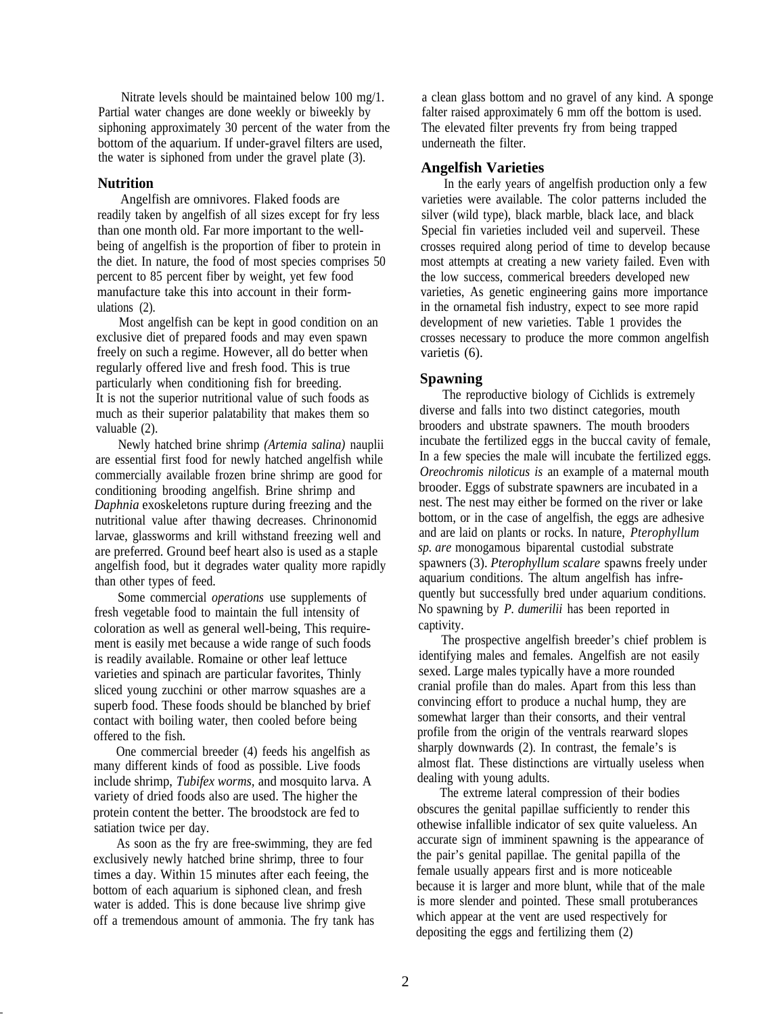Nitrate levels should be maintained below 100 mg/1. Partial water changes are done weekly or biweekly by siphoning approximately 30 percent of the water from the bottom of the aquarium. If under-gravel filters are used, the water is siphoned from under the gravel plate (3).

## **Nutrition**

Angelfish are omnivores. Flaked foods are readily taken by angelfish of all sizes except for fry less than one month old. Far more important to the wellbeing of angelfish is the proportion of fiber to protein in the diet. In nature, the food of most species comprises 50 percent to 85 percent fiber by weight, yet few food manufacture take this into account in their formulations (2).

Most angelfish can be kept in good condition on an exclusive diet of prepared foods and may even spawn freely on such a regime. However, all do better when regularly offered live and fresh food. This is true particularly when conditioning fish for breeding. It is not the superior nutritional value of such foods as much as their superior palatability that makes them so valuable (2).

Newly hatched brine shrimp *(Artemia salina)* nauplii are essential first food for newly hatched angelfish while commercially available frozen brine shrimp are good for conditioning brooding angelfish. Brine shrimp and *Daphnia* exoskeletons rupture during freezing and the nutritional value after thawing decreases. Chrinonomid larvae, glassworms and krill withstand freezing well and are preferred. Ground beef heart also is used as a staple angelfish food, but it degrades water quality more rapidly than other types of feed.

Some commercial *operations* use supplements of fresh vegetable food to maintain the full intensity of coloration as well as general well-being, This requirement is easily met because a wide range of such foods is readily available. Romaine or other leaf lettuce varieties and spinach are particular favorites, Thinly sliced young zucchini or other marrow squashes are a superb food. These foods should be blanched by brief contact with boiling water, then cooled before being offered to the fish.

One commercial breeder (4) feeds his angelfish as many different kinds of food as possible. Live foods include shrimp, *Tubifex worms,* and mosquito larva. A variety of dried foods also are used. The higher the protein content the better. The broodstock are fed to satiation twice per day.

As soon as the fry are free-swimming, they are fed exclusively newly hatched brine shrimp, three to four times a day. Within 15 minutes after each feeing, the bottom of each aquarium is siphoned clean, and fresh water is added. This is done because live shrimp give off a tremendous amount of ammonia. The fry tank has a clean glass bottom and no gravel of any kind. A sponge falter raised approximately 6 mm off the bottom is used. The elevated filter prevents fry from being trapped underneath the filter.

# **Angelfish Varieties**

In the early years of angelfish production only a few varieties were available. The color patterns included the silver (wild type), black marble, black lace, and black Special fin varieties included veil and superveil. These crosses required along period of time to develop because most attempts at creating a new variety failed. Even with the low success, commerical breeders developed new varieties, As genetic engineering gains more importance in the ornametal fish industry, expect to see more rapid development of new varieties. Table 1 provides the crosses necessary to produce the more common angelfish varietis (6).

# **Spawning**

The reproductive biology of Cichlids is extremely diverse and falls into two distinct categories, mouth brooders and ubstrate spawners. The mouth brooders incubate the fertilized eggs in the buccal cavity of female, In a few species the male will incubate the fertilized eggs. *Oreochromis niloticus is* an example of a maternal mouth brooder. Eggs of substrate spawners are incubated in a nest. The nest may either be formed on the river or lake bottom, or in the case of angelfish, the eggs are adhesive and are laid on plants or rocks. In nature, *Pterophyllum sp. are* monogamous biparental custodial substrate spawners (3). *Pterophyllum scalare* spawns freely under aquarium conditions. The altum angelfish has infrequently but successfully bred under aquarium conditions. No spawning by *P. dumerilii* has been reported in captivity.

The prospective angelfish breeder's chief problem is identifying males and females. Angelfish are not easily sexed. Large males typically have a more rounded cranial profile than do males. Apart from this less than convincing effort to produce a nuchal hump, they are somewhat larger than their consorts, and their ventral profile from the origin of the ventrals rearward slopes sharply downwards (2). In contrast, the female's is almost flat. These distinctions are virtually useless when dealing with young adults.

The extreme lateral compression of their bodies obscures the genital papillae sufficiently to render this othewise infallible indicator of sex quite valueless. An accurate sign of imminent spawning is the appearance of the pair's genital papillae. The genital papilla of the female usually appears first and is more noticeable because it is larger and more blunt, while that of the male is more slender and pointed. These small protuberances which appear at the vent are used respectively for depositing the eggs and fertilizing them (2)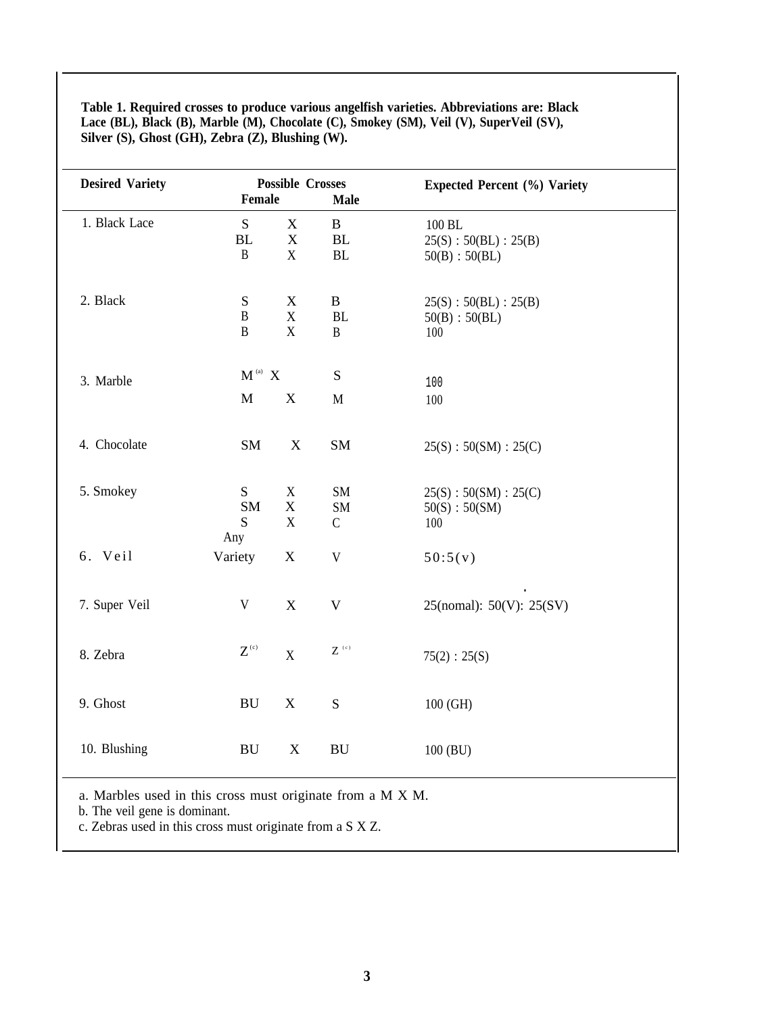| Table 1. Required crosses to produce various angelfish varieties. Abbreviations are: Black |
|--------------------------------------------------------------------------------------------|
| Lace (BL), Black (B), Marble (M), Chocolate (C), Smokey (SM), Veil (V), SuperVeil (SV),    |
| Silver $(S)$ , Ghost $(GH)$ , Zebra $(Z)$ , Blushing $(W)$ .                               |

| <b>Desired Variety</b>                                   | Female                                                           | <b>Possible Crosses</b>                   | Male                                      | <b>Expected Percent (%) Variety</b>              |
|----------------------------------------------------------|------------------------------------------------------------------|-------------------------------------------|-------------------------------------------|--------------------------------------------------|
| 1. Black Lace                                            | ${\bf S}$<br><b>BL</b><br>$\, {\bf B}$                           | X<br>$\mathbf X$<br>X                     | $\bf{B}$<br>$\mathbf{BL}$<br>$\rm BL$     | 100 BL<br>25(S): 50(BL): 25(B)<br>50(B) : 50(BL) |
| 2. Black                                                 | ${\bf S}$<br>$\, {\bf B}$<br>$\, {\bf B}$                        | $\mathbf X$<br>$\mathbf X$<br>$\mathbf X$ | B<br>BL<br>$\, {\bf B}$                   | 25(S): 50(BL): 25(B)<br>50(B) : 50(BL)<br>100    |
| 3. Marble                                                | $\mathbf{M}^{\scriptscriptstyle{\mathrm{(a)}}}$ X<br>$\mathbf M$ | $\mathbf X$                               | ${\bf S}$<br>$\mathbf M$                  | 100<br>100                                       |
| 4. Chocolate                                             | ${\bf SM}$                                                       | $\mathbf X$                               | ${\rm SM}$                                | 25(S) : 50(SM) : 25(C)                           |
| 5. Smokey                                                | S<br>${\bf SM}$<br>${\bf S}$<br>Any                              | $\mathbf X$<br>$\mathbf X$<br>$\mathbf X$ | <b>SM</b><br>$\mbox{SM}$<br>$\mathcal{C}$ | 25(S) : 50(SM) : 25(C)<br>50(S) : 50(SM)<br>100  |
| 6. Veil                                                  | Variety                                                          | $\mathbf X$                               | $\ensuremath{\mathsf{V}}$                 | 50:5(v)                                          |
| 7. Super Veil                                            | $\ensuremath{\mathsf{V}}$                                        | $\mathbf X$                               | $\mathbf V$                               | 25(nomal): 50(V): 25(SV)                         |
| 8. Zebra                                                 | $\mathbf{Z}^{\scriptscriptstyle{\mathrm{(c)}}}$                  | X                                         | $\mathbf{Z}^{(\text{c})}$                 | 75(2): 25(S)                                     |
| 9. Ghost                                                 | ${\bf B}{\bf U}$                                                 | $\mathbf X$                               | ${\bf S}$                                 | 100(GH)                                          |
| 10. Blushing                                             | ${\bf BU}$                                                       | X                                         | $\rm BU$                                  | 100 (BU)                                         |
| a Marbles used in this exase must exiginate from a M V M |                                                                  |                                           |                                           |                                                  |

a. Marbles used in this cross must originate from a M X M.

b. The veil gene is dominant.

c. Zebras used in this cross must originate from a S X Z.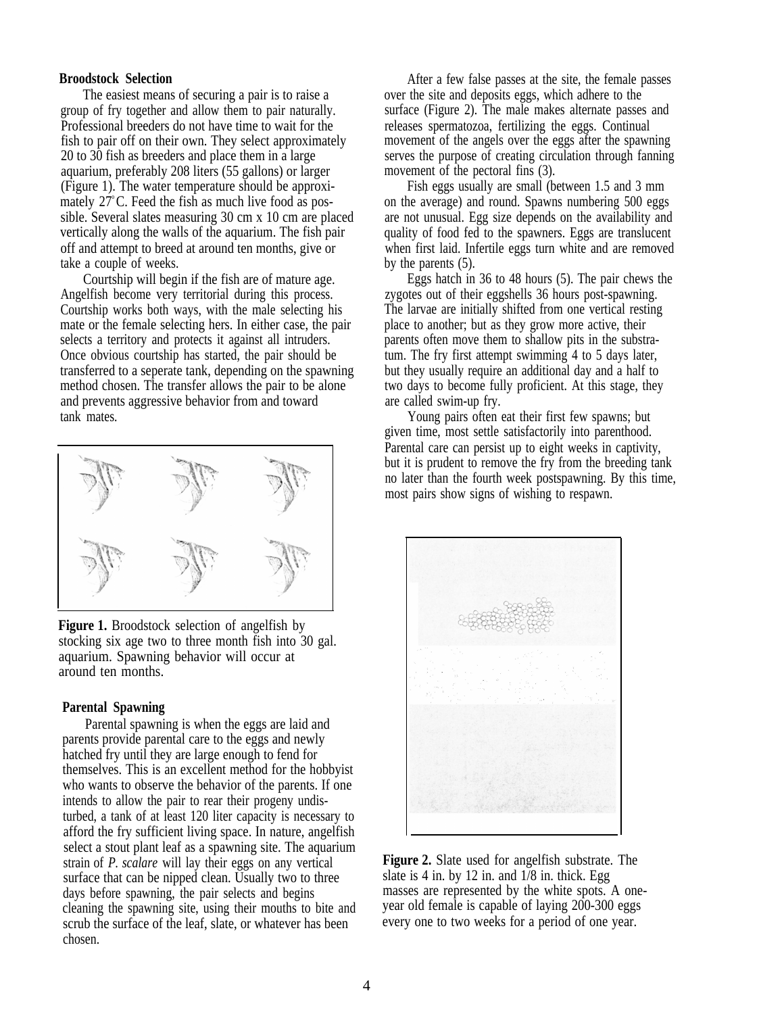## **Broodstock Selection**

The easiest means of securing a pair is to raise a group of fry together and allow them to pair naturally. Professional breeders do not have time to wait for the fish to pair off on their own. They select approximately 20 to 30 fish as breeders and place them in a large aquarium, preferably 208 liters (55 gallons) or larger (Figure 1). The water temperature should be approximately  $27^{\circ}$ C. Feed the fish as much live food as possible. Several slates measuring 30 cm x 10 cm are placed vertically along the walls of the aquarium. The fish pair off and attempt to breed at around ten months, give or take a couple of weeks.

Courtship will begin if the fish are of mature age. Angelfish become very territorial during this process. Courtship works both ways, with the male selecting his mate or the female selecting hers. In either case, the pair selects a territory and protects it against all intruders. Once obvious courtship has started, the pair should be transferred to a seperate tank, depending on the spawning method chosen. The transfer allows the pair to be alone and prevents aggressive behavior from and toward tank mates.



**Figure 1.** Broodstock selection of angelfish by stocking six age two to three month fish into 30 gal. aquarium. Spawning behavior will occur at around ten months.

### **Parental Spawning**

Parental spawning is when the eggs are laid and parents provide parental care to the eggs and newly hatched fry until they are large enough to fend for themselves. This is an excellent method for the hobbyist who wants to observe the behavior of the parents. If one intends to allow the pair to rear their progeny undisturbed, a tank of at least 120 liter capacity is necessary to afford the fry sufficient living space. In nature, angelfish select a stout plant leaf as a spawning site. The aquarium strain of *P. scalare* will lay their eggs on any vertical surface that can be nipped clean. Usually two to three days before spawning, the pair selects and begins cleaning the spawning site, using their mouths to bite and scrub the surface of the leaf, slate, or whatever has been chosen.

After a few false passes at the site, the female passes over the site and deposits eggs, which adhere to the surface (Figure 2). The male makes alternate passes and releases spermatozoa, fertilizing the eggs. Continual movement of the angels over the eggs after the spawning serves the purpose of creating circulation through fanning movement of the pectoral fins (3).

Fish eggs usually are small (between 1.5 and 3 mm on the average) and round. Spawns numbering 500 eggs are not unusual. Egg size depends on the availability and quality of food fed to the spawners. Eggs are translucent when first laid. Infertile eggs turn white and are removed by the parents (5).

Eggs hatch in 36 to 48 hours (5). The pair chews the zygotes out of their eggshells 36 hours post-spawning. The larvae are initially shifted from one vertical resting place to another; but as they grow more active, their parents often move them to shallow pits in the substratum. The fry first attempt swimming 4 to 5 days later, but they usually require an additional day and a half to two days to become fully proficient. At this stage, they are called swim-up fry.

Young pairs often eat their first few spawns; but given time, most settle satisfactorily into parenthood. Parental care can persist up to eight weeks in captivity, but it is prudent to remove the fry from the breeding tank no later than the fourth week postspawning. By this time, most pairs show signs of wishing to respawn.



**Figure 2.** Slate used for angelfish substrate. The slate is 4 in. by 12 in. and 1/8 in. thick. Egg masses are represented by the white spots. A oneyear old female is capable of laying 200-300 eggs every one to two weeks for a period of one year.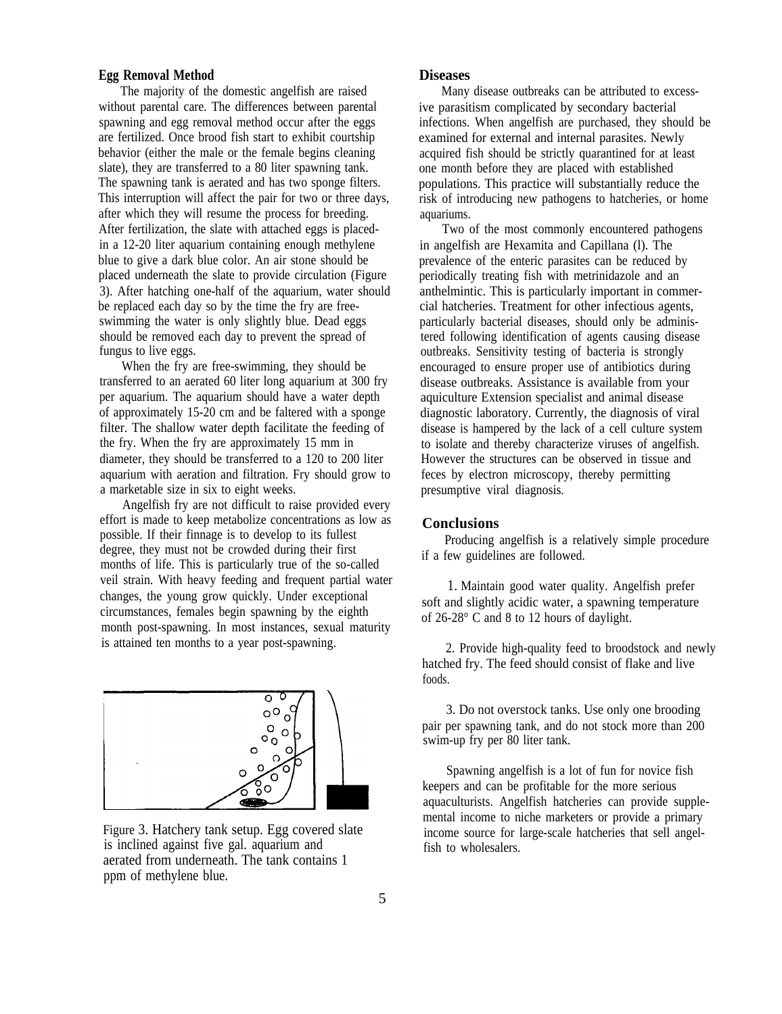#### **Egg Removal Method**

The majority of the domestic angelfish are raised without parental care. The differences between parental spawning and egg removal method occur after the eggs are fertilized. Once brood fish start to exhibit courtship behavior (either the male or the female begins cleaning slate), they are transferred to a 80 liter spawning tank. The spawning tank is aerated and has two sponge filters. This interruption will affect the pair for two or three days, after which they will resume the process for breeding. After fertilization, the slate with attached eggs is placedin a 12-20 liter aquarium containing enough methylene blue to give a dark blue color. An air stone should be placed underneath the slate to provide circulation (Figure 3). After hatching one-half of the aquarium, water should be replaced each day so by the time the fry are freeswimming the water is only slightly blue. Dead eggs should be removed each day to prevent the spread of fungus to live eggs.

When the fry are free-swimming, they should be transferred to an aerated 60 liter long aquarium at 300 fry per aquarium. The aquarium should have a water depth of approximately 15-20 cm and be faltered with a sponge filter. The shallow water depth facilitate the feeding of the fry. When the fry are approximately 15 mm in diameter, they should be transferred to a 120 to 200 liter aquarium with aeration and filtration. Fry should grow to a marketable size in six to eight weeks.

Angelfish fry are not difficult to raise provided every effort is made to keep metabolize concentrations as low as possible. If their finnage is to develop to its fullest degree, they must not be crowded during their first months of life. This is particularly true of the so-called veil strain. With heavy feeding and frequent partial water changes, the young grow quickly. Under exceptional circumstances, females begin spawning by the eighth month post-spawning. In most instances, sexual maturity is attained ten months to a year post-spawning.



Figure 3. Hatchery tank setup. Egg covered slate is inclined against five gal. aquarium and aerated from underneath. The tank contains 1 ppm of methylene blue.

#### **Diseases**

Many disease outbreaks can be attributed to excessive parasitism complicated by secondary bacterial infections. When angelfish are purchased, they should be examined for external and internal parasites. Newly acquired fish should be strictly quarantined for at least one month before they are placed with established populations. This practice will substantially reduce the risk of introducing new pathogens to hatcheries, or home aquariums.

Two of the most commonly encountered pathogens in angelfish are Hexamita and Capillana (l). The prevalence of the enteric parasites can be reduced by periodically treating fish with metrinidazole and an anthelmintic. This is particularly important in commercial hatcheries. Treatment for other infectious agents, particularly bacterial diseases, should only be administered following identification of agents causing disease outbreaks. Sensitivity testing of bacteria is strongly encouraged to ensure proper use of antibiotics during disease outbreaks. Assistance is available from your aquiculture Extension specialist and animal disease diagnostic laboratory. Currently, the diagnosis of viral disease is hampered by the lack of a cell culture system to isolate and thereby characterize viruses of angelfish. However the structures can be observed in tissue and feces by electron microscopy, thereby permitting presumptive viral diagnosis.

#### **Conclusions**

Producing angelfish is a relatively simple procedure if a few guidelines are followed.

1. Maintain good water quality. Angelfish prefer soft and slightly acidic water, a spawning temperature of 26-28° C and 8 to 12 hours of daylight.

2. Provide high-quality feed to broodstock and newly hatched fry. The feed should consist of flake and live foods.

3. Do not overstock tanks. Use only one brooding pair per spawning tank, and do not stock more than 200 swim-up fry per 80 liter tank.

Spawning angelfish is a lot of fun for novice fish keepers and can be profitable for the more serious aquaculturists. Angelfish hatcheries can provide supplemental income to niche marketers or provide a primary income source for large-scale hatcheries that sell angelfish to wholesalers.